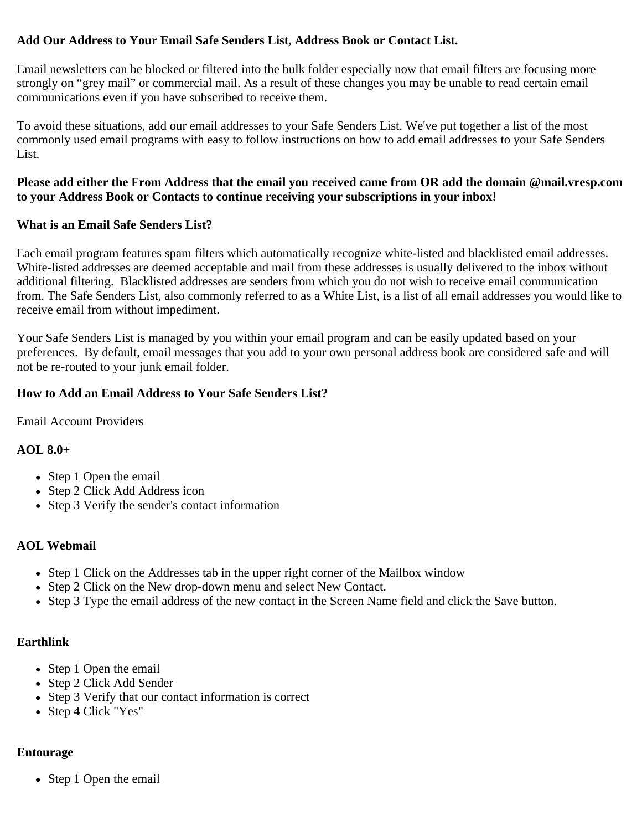## **Add Our Address to Your Email Safe Senders List, Address Book or Contact List.**

Email newsletters can be blocked or filtered into the bulk folder especially now that email filters are focusing more strongly on "grey mail" or commercial mail. As a result of these changes you may be unable to read certain email communications even if you have subscribed to receive them.

To avoid these situations, add our email addresses to your Safe Senders List. We've put together a list of the most commonly used email programs with easy to follow instructions on how to add email addresses to your Safe Senders List.

## **Please add either the From Address that the email you received came from OR add the domain @mail.vresp.com to your Address Book or Contacts to continue receiving your subscriptions in your inbox!**

## **What is an Email Safe Senders List?**

Each email program features spam filters which automatically recognize white-listed and blacklisted email addresses. White-listed addresses are deemed acceptable and mail from these addresses is usually delivered to the inbox without additional filtering. Blacklisted addresses are senders from which you do not wish to receive email communication from. The Safe Senders List, also commonly referred to as a White List, is a list of all email addresses you would like to receive email from without impediment.

Your Safe Senders List is managed by you within your email program and can be easily updated based on your preferences. By default, email messages that you add to your own personal address book are considered safe and will not be re-routed to your junk email folder.

## **How to Add an Email Address to Your Safe Senders List?**

Email Account Providers

## **AOL 8.0+**

- Step 1 Open the email
- Step 2 Click Add Address icon
- Step 3 Verify the sender's contact information

## **AOL Webmail**

- Step 1 Click on the Addresses tab in the upper right corner of the Mailbox window
- Step 2 Click on the New drop-down menu and select New Contact.
- Step 3 Type the email address of the new contact in the Screen Name field and click the Save button.

## **Earthlink**

- Step 1 Open the email
- Step 2 Click Add Sender
- Step 3 Verify that our contact information is correct
- Step 4 Click "Yes"

## **Entourage**

• Step 1 Open the email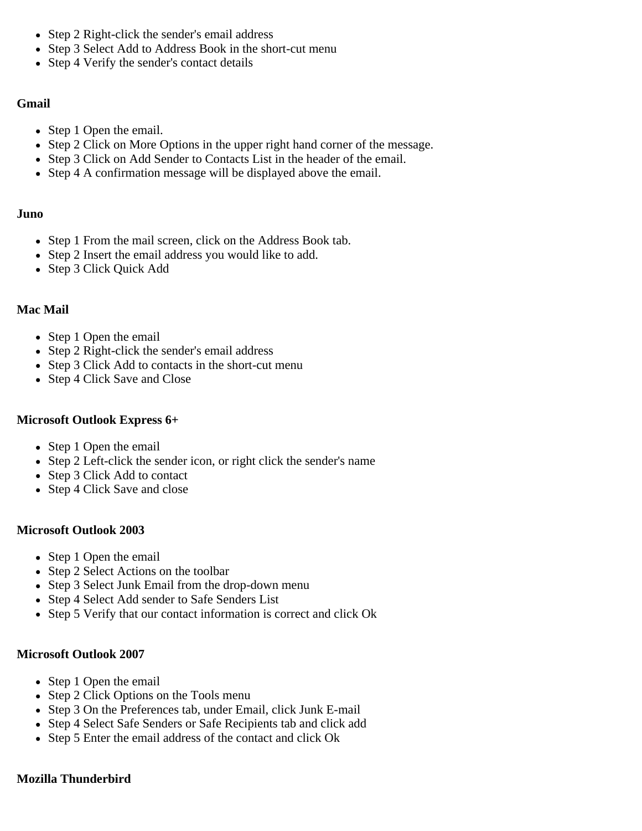- Step 2 Right-click the sender's email address
- Step 3 Select Add to Address Book in the short-cut menu
- Step 4 Verify the sender's contact details

#### **Gmail**

- Step 1 Open the email.
- Step 2 Click on More Options in the upper right hand corner of the message.
- Step 3 Click on Add Sender to Contacts List in the header of the email.
- Step 4 A confirmation message will be displayed above the email.

#### **Juno**

- Step 1 From the mail screen, click on the Address Book tab.
- Step 2 Insert the email address you would like to add.
- Step 3 Click Quick Add

## **Mac Mail**

- Step 1 Open the email
- Step 2 Right-click the sender's email address
- Step 3 Click Add to contacts in the short-cut menu
- Step 4 Click Save and Close

### **Microsoft Outlook Express 6+**

- Step 1 Open the email
- Step 2 Left-click the sender icon, or right click the sender's name
- Step 3 Click Add to contact
- Step 4 Click Save and close

## **Microsoft Outlook 2003**

- Step 1 Open the email
- Step 2 Select Actions on the toolbar
- Step 3 Select Junk Email from the drop-down menu
- Step 4 Select Add sender to Safe Senders List
- Step 5 Verify that our contact information is correct and click Ok

# **Microsoft Outlook 2007**

- Step 1 Open the email
- Step 2 Click Options on the Tools menu
- Step 3 On the Preferences tab, under Email, click Junk E-mail
- Step 4 Select Safe Senders or Safe Recipients tab and click add
- Step 5 Enter the email address of the contact and click Ok

# **Mozilla Thunderbird**